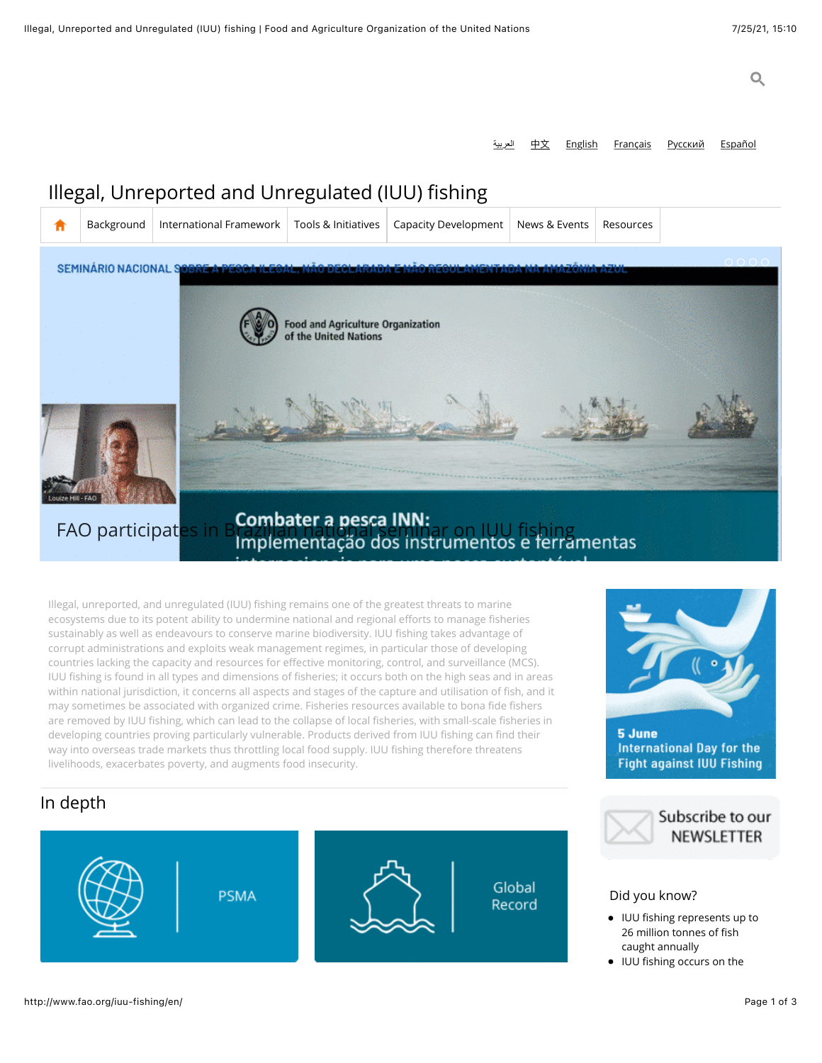العربية <u>[English](http://www.fao.org/iuu-fishing/en/) [Français](http://www.fao.org/iuu-fishing/fr/) [Русский](http://www.fao.org/iuu-fishing/ru/) [Español](http://www.fao.org/iuu-fishing/es/)</u>

5 June

International Day for the **Fight against IUU Fishing** 

> Subscribe to our **NEWSLETTER**

# Illegal, Unreported and Unregulated (IUU) fishing

| π                                                                                              | Background            | International Framework | Tools & Initiatives                                                   | Capacity Development | News & Events | Resources |  |
|------------------------------------------------------------------------------------------------|-----------------------|-------------------------|-----------------------------------------------------------------------|----------------------|---------------|-----------|--|
| SEMINÁRIO NACIONAL SORRE A REGOLIA ROMANO DECAMBINADA EMICIO RECUPINHENTION NO INVITASIVAMENTE |                       |                         |                                                                       |                      |               |           |  |
|                                                                                                |                       |                         | Food and Agriculture Organization<br>of the United Nations            |                      |               |           |  |
|                                                                                                | <b>FAO participat</b> |                         |                                                                       |                      |               |           |  |
|                                                                                                |                       |                         | Combater a pesca INN:<br>Implementação dos instrumentos e ferramentas |                      |               |           |  |

Illegal, unreported, and unregulated (IUU) fishing remains one of the greatest threats to marine ecosystems due to its potent ability to undermine national and regional efforts to manage fisheries sustainably as well as endeavours to conserve marine biodiversity. IUU fishing takes advantage of corrupt administrations and exploits weak management regimes, in particular those of developing countries lacking the capacity and resources for effective monitoring, control, and surveillance (MCS). IUU fishing is found in all types and dimensions of fisheries; it occurs both on the high seas and in areas within national jurisdiction, it concerns all aspects and stages of the capture and utilisation of fish, and it may sometimes be associated with organized crime. Fisheries resources available to bona fide fishers are removed by IUU fishing, which can lead to the collapse of local fisheries, with small-scale fisheries in developing countries proving particularly vulnerable. Products derived from IUU fishing can find their way into overseas trade markets thus throttling local food supply. IUU fishing therefore threatens livelihoods, exacerbates poverty, and augments food insecurity.

## In depth

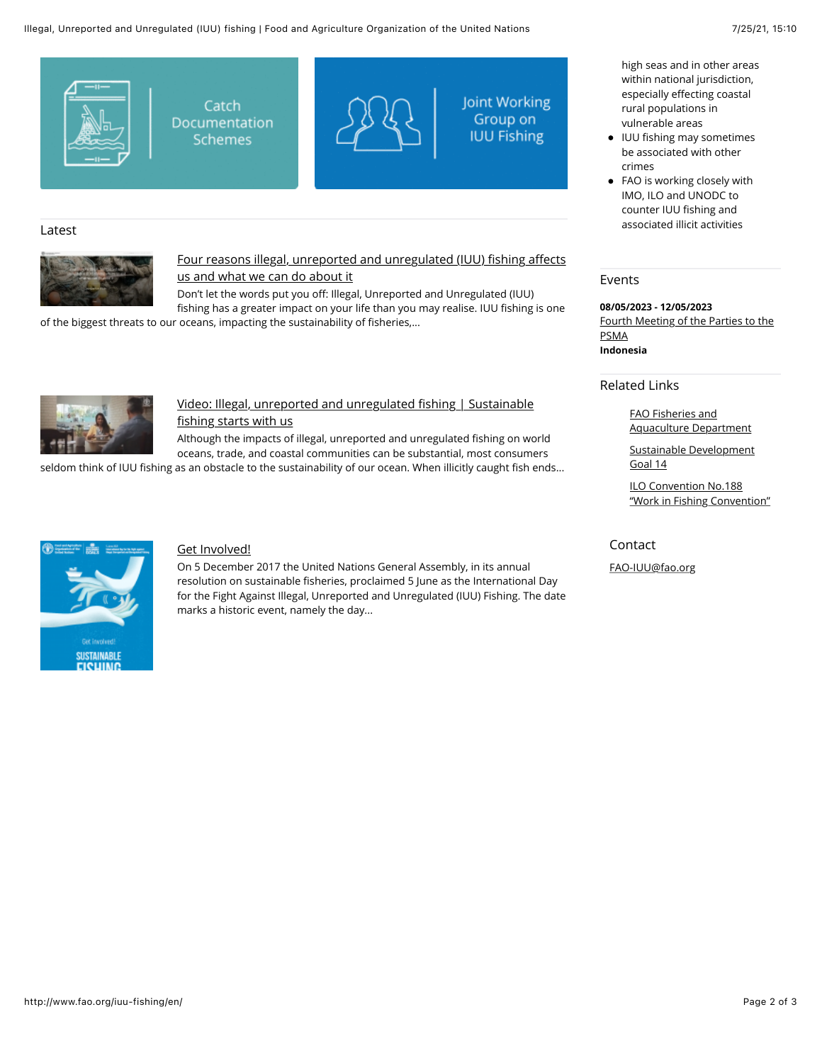

## Latest



## [Four reasons illegal, unreported and unregulated \(IUU\)](http://www.fao.org/iuu-fishing/resources/detail/en/c/1412867/) fishing affects us and what we can do about it

Don't let the words put you off: Illegal, Unreported and Unregulated (IUU) fishing has a greater impact on your life than you may realise. IUU fishing is one of the biggest threats to our oceans, impacting the sustainability of fisheries,...



## [Video: Illegal, unreported and unregulated](http://www.fao.org/iuu-fishing/resources/detail/en/c/1403704/) fishing | Sustainable fishing starts with us

Although the impacts of illegal, unreported and unregulated fishing on world oceans, trade, and coastal communities can be substantial, most consumers

seldom think of IUU fishing as an obstacle to the sustainability of our ocean. When illicitly caught fish ends...



## [Get Involved!](http://www.fao.org/iuu-fishing/resources/detail/en/c/1403969/)

On 5 December 2017 the United Nations General Assembly, in its annual resolution on sustainable fisheries, proclaimed 5 June as the International Day for the Fight Against Illegal, Unreported and Unregulated (IUU) Fishing. The date marks a historic event, namely the day...

high seas and in other areas within national jurisdiction, especially effecting coastal rural populations in vulnerable areas

- IUU fishing may sometimes be associated with other crimes
- FAO is working closely with IMO, ILO and UNODC to counter IUU fishing and associated illicit activities

#### Events

**08/05/2023 - 12/05/2023** [Fourth Meeting of the Parties to the](http://www.fao.org/port-state-measures/news-events/detail/en/c/1412292/) PSMA **Indonesia**

#### Related Links

FAO Fisheries and [Aquaculture Department](http://www.fao.org/)

[Sustainable Development](https://sustainabledevelopment.un.org/sdg14) Goal 14

ILO Convention No.188 ["Work in Fishing Convention"](http://www.ilo.org/dyn/normlex/en/f?p=NORMLEXPUB:12100:0::NO::P12100_ILO_CODE:C188)

#### Contact

[FAO-IUU@fao.org](mailto:fao-iuu@fao.org)